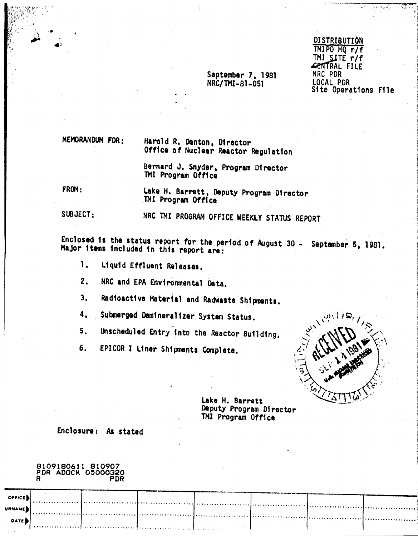# DISTRIBUTION TMIPO HQ r/f **CENTRAL FILE** NRC PDR LOCAL PDR Site Operations File

""-, '\_'\_"' .•~,•."w.•-,\_, , ¥••••• -\_A

~,j" ,"'C"<),.;. ~\_~,. t ,~}.

MEMORANDUM FOR:

Harold R. Denton, Director Office of Nuclear Reactor Regulation

September 7, 1981 NRC/TMI-81-051

Bernard J. Snyder, Program Director 1MI Program Office

FROM:

 $\mathbf{t}$ 

Lake H. Barrett, Deputy Program 01rector TMI Program Office

SUBJECT:

NRC 1HI PROGRAM OFFICE WEEKLY STATUS REPORT

Enclosed is the status report for the period of August 30 - September 5, 1981. Major items included in this report are:

1. Liquid Effluent Releases.

2. NRC and EPA Environmental oata.

3. Radioactive Material and Radwaste Shipments.

4. Submerged Demineralizer System Status.

Unscheduled Entry into the Reactor Building. 5.

EPICOR I Liner Shipments Complete. 6.



Lake H. Barrett Deputy Program Director TMI Program Office

Enclosure: As stated

8109180611 810907 PDR ADOCK 05000320 R PDR

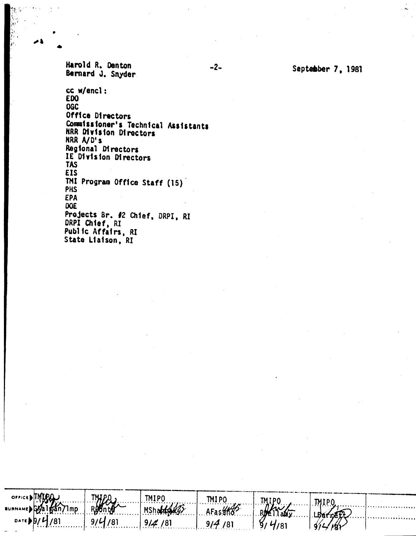Harold R. Denton Bernard J. Snyder

• •

> cc w/encl : EDO OGe Off1ce Directors Communissioner's Technical Assistants NRR Division Directors **HRR** A/D's Reg10nal D1rectors IE Division Directors **TAS** EIS THI Program Office Staff (15) PHS EPA OOE Projects *8r. 12* Chief, DRPI, RI DRPI Ch1ef, RI Public Affairs, RI State Liaison, RI

> > TMIPO

an71mp

Mshabte

 $9/4/81$ 

 $\overline{81}$ 

9.

TMIPO

AFastho

 $9/4/81$ 

TMIPO

 $4/81$ 

४,

.TMIPC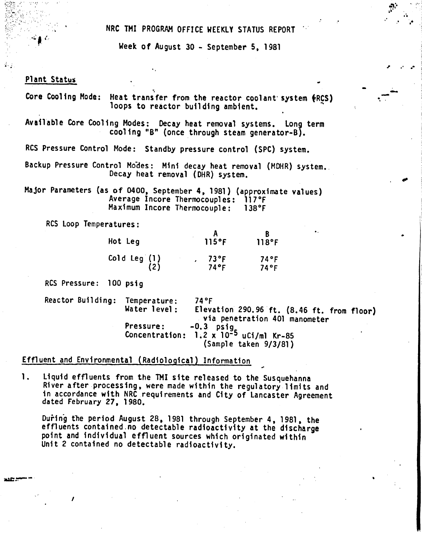NRC THI PROGRAM OFFICE WEEKLY STATUS REPORT

Week of August 30 - September 5, 1981

..<br>... John Sterling (1986) - Andre Sterling (1986) - Andre Sterling (1986) - Andre Sterling (1986) - Andre Ster<br>... John Sterling (1986) - Andre Sterling (1986) - Andre Sterling (1986) - Andre Sterling (1986) - Andre Ster

..

"

." '.-

..-'-

•

## Plant Status

 $\frac{1}{2}$ 

 $\mathcal{L}_{\parallel}$  (.

.\_\_ .•...\_-

*I*

Core Cooling Mode: Heat transfer from the reactor coolant system (RCS) loops to reactor building ambient.

Available Core Cooling Modes: Decay heat removal systems. Long term cooling "B" (once through steam generator-B).

RCS Pressure Control Mode: Standby pressure control (SPC) system.

Backup Pressure Control Modes: Mini decay heat removal (MDHR) system. Decay heat removal (DHR) system,

Major Parameters (as of 0400. September 4.1981) (approximate values) Average Incore Thermocouples: 117°F<br>Maximum Incore Thermocouple: 138°F Maximum Incore Thermocouple:

ReS Loop Temperatures:

| Hot Leg      | $115$ °F        | 118°F        |
|--------------|-----------------|--------------|
| Cold Leg (1) | $73$ °F<br>74°F | 74°F<br>74°F |

Res Pressure: 100 psig

Reactor Building: Temperature: 74°F<br>Waterlevel: Eleva Elevation 290.96 ft. (8.46 ft. from floor) via penetration 401 manometer Pressure: -0.3 pstg Concentration: 1.2 x 10-5 uCi/ml Kr-85 (Sample taken 9/3/81)

### Effluent and Environmental (Radiological) Information

1. Liquid effluents from the TMI site released to the Susquehanna River after processing. were made within the regulatory limits and 1n accordance with NRC requirements and City of Lancaster Agreement dated February 27. 1980.

During the period August 28. 1981 through September 4. 1981. the effluents contained,no detectable radioactivity at the discharge point and individual effluent Sources which originated within Unit 2 contained no detectable radioactivity.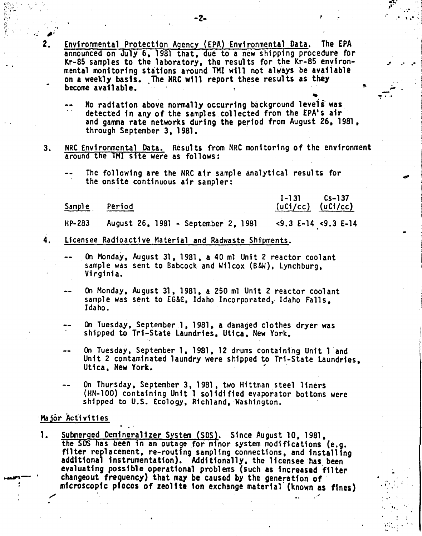'.

- Environmental Protection Agency (EPA) Environmental Data. The EPA announced on July 6, 1981 that, due to a new shipping procedure for Kr-85 samples to the laboratory, the results for the Kr-85 environ mental monitoring stations around THI will not always be available on a weekly basis. The NRC will report these results as they become available.
	- No radiation above normally occurring background levels was detected in any of the samples collected from the EPA's air and gamma rate networks during the period from August 26, 1981, through September 3, 1981.
- 3. NRC Environmental Data. Results from NRC monitoring of the environment around the TMI site were as follows:
	- The following are the NRCair sample analytical results for the onsite continuous air sampler:

Sample Period

..

2.

1-131 (uCi/ec) (uCi/cc) Cs-137

•••

*.10'* <sup>~</sup> .. ,.  $\frac{1}{\sqrt{2}}$ 

**.- .- .-**

..

... ." I •  $\mathcal{L}_{\mathcal{L}}$  $r_{\rm c} \approx 10^{-10}$  $\mathbf{r} = \mathbf{r}$ 

 $\mathbf{r}$ t.; .•••• f

.- .-.... ,

.'

<9.3 E-14 <9.3 E-14 HP-283 August 26, 1981 - September 2, 1981

- 4. licensee Radioactive Material and Radwaste Shipments.
	- On Monday, August 31, 1981, a 40 ml Unit 2 reactor coolant sample was sent to Babcock and Wilcox (B&W), Lynchburg, Virginia.
	- On Monday, August 31, 1981, a 250 ml Unit 2 reactor coolant sample was sent to EG&C, Idaho Incorporated, Idaho Falls, Idaho.
	- On Tuesday, September 1, 1981, a damaged clothes dryer was shipped to Tri-State Laundries, Utica, New York.
	- On Tuesday, September 1,1981,12 drums containing Unit 1 and Unit 2 contaminated laundry were shipped to Tri-State Laundries, Utica, New York.
	- On Thursday, September 3, 1981, two Hittman steel liners (HN-100) containing Unit 1 solidified evaporator bottoms were shipped to U.S. Ecology, Richland, Washington.

### Major Activities

1. Submerged Demineralizer System (SDS). Since August 10, 1981, the SDS has been in an outage for minor system modifications (e.g. filter replacement, re-routing sampling connections, and installing additional instrumentation). Additionally, the licensee has been evaluating possible operational problems (such as increased filter changeout frequency) that may be caused by the generation of microscopic pieces of zeolite ion exchange material (known as fines) ,/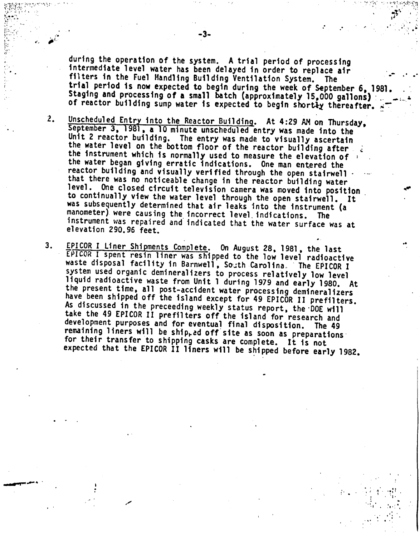during the operation of the system. A trial period of processing intermediate level water has been delayed in order to replace air filters in the Fuel Handling Building Ventilation System. The trial period is now expected to begin during the week of September 6, 1981. Staging and processing of a small batch (approximately 15,000 gallons) of reactor building sump water is expected to begin shortly thereafter.

.. ..

..

..  $\mathcal{L}^{\text{max}}_{\text{max}}$ , .

 $\mathbf{F}^{\prime}$  , ...

*""":\' , ,:~,;.:,:~,t1"\;:1*

:'

 $\mathcal{L}=\frac{1}{2}$ 

:' ..

..; .\ . ..:: " I,', ~. . . .. '.1;,'. :,;;',  $\mathcal{L}^{\text{max}}_{\text{max}}$ 

, "

- 2.. Unscheduled Entry into the Reactor Building. At 4:29 AM on Thursday, September 3, 1981, a 10 minute unscheduled entry was made into the Unit 2 reactor building. The entry was made to visually ascertain the water level on the bottom floor of the reactor building after the instrument which is normally used to measure the elevation of : the water began giving erratic indications. One man entered the reactor building and visually verified through the open stairwell. that there was no noticeable change in the reactor building water<br>level. One closed circuit television camera was moved into position One closed circuit television camera was moved into position to continually view the water level through the open stairwell. It was subsequently determined that air leaks into the instrument (a manometer) were causing the incorrect level, indications. The instrument was repaired and' indicated that the water surface was at elevation 290.96 feet.
- 3. EPICOR I Liner Shipments Complete. On August 28, 1981, the last EPICOR I spent resin liner was shipped to the low level radioactive waste disposal facility in Barnwell, South Carolina. The EPICOR I system used organic demineralizers to process relatively low level liquid radioactive waste from Unit 1 during 1979 and early 1980. At the present time, all post-accident water processing demineralizers have been shipped off the island except for 49 EPICOR II prefilters. As discussed in the preceeding weekly status report, the DOE will take the 49 EPICOR II prefilters off the island for research and development purposes and for eventual final disposition. The 49 remaining liners will be ship<sub>r</sub>ed off site as soon as preparations for their transfer to shipping casks are complete. It is not expected that the EPICOR II liners will be shipped before early 1982.

" i

*~w't:r~",,"y"'y:r'*

 $\frac{1}{2}$  $\mathcal{C}^{\mathbf{r}}_{\mathbf{r}}$  and  $\mathbb{R}^{N_{\mathrm{c}}\times\mathbb{R}^{N_{\mathrm{c}}}}$  $\sim$  $\sim$  .  $\mathbb{R}^{\mathbb{Z}^{\times}}$  . *(1*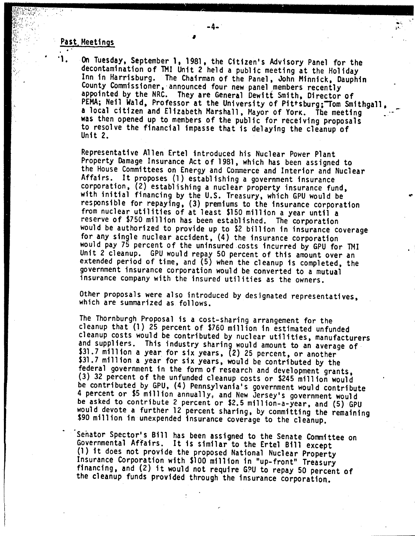#### Past, Meetings

 $\cdot$   $\cdot$   $\cdot$   $\cdot$ 

 $\cdot$   $\cdot$  1.

*~~);!:r*

"'''I,  $\mathcal{L}$ 

> On Tuesday, September 1,1981, the Citizen's Advisory Panel for the decontamination of TMI Unit 2 held a public meeting at the Holiday Inn in Harrisburg, The Chairman of the Panel, John Minnick, Dauphin County Commissioner, announced four new panel members recently appointed by the NRC, They are General Dewitt Smith, Director of PEMA; Neil Wald, Professor at the University of Pittsburg; Tom Smithgall a local citizen and Elizabeth Marshall, Mayor of YorK. The meeting was then opened up to members of the public for receiving proposals to resolve the financial impasse that is delaying the cleanup of Unit 2.

,<br>,<br>,

 $-4-1$ 

...•

Representative Allen Ertel introduced his Nuclear Power Plant Property Damage Insurance Act of 1981, which has been assigned to the House Committees on Energy and Commerce and Interior and Nuclear Affairs. It proposes (l) establishing a government insurance corporation, (2) establishing a nuclear property insurance fund, with initial financing by the U.S. Treasury, which GPU would be responsible for repaying, (3) premiums to the insurance corporation from nuclear utilities of at least \$150 million a year until a reserve of \$750 million has been established. The corporation would be authorized to provide up to \$2 billion in insurance coverage for any single nuclear accident, (4) the insurance corporation would pay 75 percent of the uninsured costs incurred by GPU for TMI Unit 2 cleanup. GPU would repay 50 percent of this amount over an extended period of time, and (5) when the cleanup is completed, the government insurance corporation would be converted to a mutual insurance company with the insured utilities as the owners.

Other proposals were also introduced by designated representatives, which are summarized as follows.

The Thornburgh Proposal is a cost-sharing arrangement for the cleanup that (1) 25 percent of \$760 million in estimated unfunded cleanup costs would be contributed by nuclear utilities, manufacturers and suppliers. This industry sharing would amount to an average of \$31.7 million a year for six years, (2) 25 percent, or another \$31.7 million a year for six years, would be contributed by the federal government in the form of research and development grants, (3) 32 percent of the unfunded cleanup costs or \$245 million would be contributed by GPU, (4) Pennsylvania's government would contribute 4 percent or \$5 million annually, and New Jersey's government would be asked to contribute 2 percent or \$2.5 million-a-year, and (5) GPU would devote a further 12 percent sharing, by committing the remaining \$90 million in unexpended insurance coverage to the cleanup.

Senator Spector's Bill has been assigned to the Senate Committee on Governmental Affairs. It is similar to the Ertel Bill except (1) it does not provide the proposed National Nuclear Property Insurance Corporation with \$100 mill ion in "up- front" Treasury financing, and (2) it would not require G?U to repay 50 percent of the cleanup funds provided through the insurance corporation.